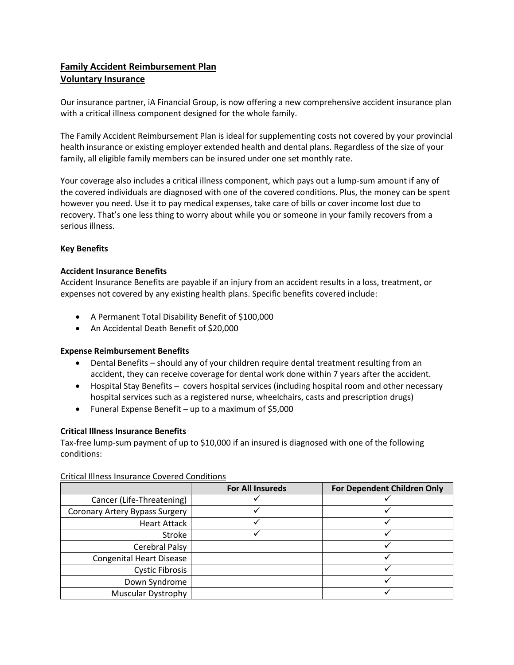# **Family Accident Reimbursement Plan Voluntary Insurance**

Our insurance partner, iA Financial Group, is now offering a new comprehensive accident insurance plan with a critical illness component designed for the whole family.

The Family Accident Reimbursement Plan is ideal for supplementing costs not covered by your provincial health insurance or existing employer extended health and dental plans. Regardless of the size of your family, all eligible family members can be insured under one set monthly rate.

Your coverage also includes a critical illness component, which pays out a lump-sum amount if any of the covered individuals are diagnosed with one of the covered conditions. Plus, the money can be spent however you need. Use it to pay medical expenses, take care of bills or cover income lost due to recovery. That's one less thing to worry about while you or someone in your family recovers from a serious illness.

## **Key Benefits**

### **Accident Insurance Benefits**

Accident Insurance Benefits are payable if an injury from an accident results in a loss, treatment, or expenses not covered by any existing health plans. Specific benefits covered include:

- A Permanent Total Disability Benefit of \$100,000
- An Accidental Death Benefit of \$20,000

### **Expense Reimbursement Benefits**

- Dental Benefits should any of your children require dental treatment resulting from an accident, they can receive coverage for dental work done within 7 years after the accident.
- Hospital Stay Benefits covers hospital services (including hospital room and other necessary hospital services such as a registered nurse, wheelchairs, casts and prescription drugs)
- Funeral Expense Benefit up to a maximum of \$5,000

### **Critical Illness Insurance Benefits**

Tax-free lump-sum payment of up to \$10,000 if an insured is diagnosed with one of the following conditions:

|                                       | <b>For All Insureds</b> | For Dependent Children Only |
|---------------------------------------|-------------------------|-----------------------------|
| Cancer (Life-Threatening)             |                         |                             |
| <b>Coronary Artery Bypass Surgery</b> |                         |                             |
| <b>Heart Attack</b>                   |                         |                             |
| Stroke                                |                         |                             |
| Cerebral Palsy                        |                         |                             |
| <b>Congenital Heart Disease</b>       |                         |                             |
| <b>Cystic Fibrosis</b>                |                         |                             |
| Down Syndrome                         |                         |                             |
| <b>Muscular Dystrophy</b>             |                         |                             |

Critical Illness Insurance Covered Conditions